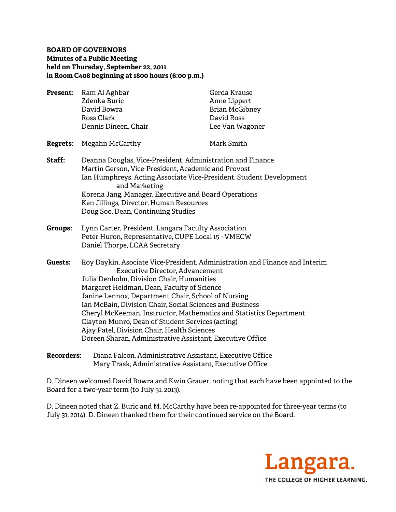## **BOARD OF GOVERNORS Minutes of a Public Meeting held on Thursday, September 22, 2011 in Room C408 beginning at 1800 hours (6:00 p.m.)**

| <b>Present:</b> | Ram Al Aghbar        | Gerda Krause          |
|-----------------|----------------------|-----------------------|
|                 | Zdenka Buric         | Anne Lippert          |
|                 | David Bowra          | <b>Brian McGibney</b> |
|                 | Ross Clark           | David Ross            |
|                 | Dennis Dineen, Chair | Lee Van Wagoner       |
|                 |                      |                       |

## **Regrets:** Megahn McCarthy Mark Smith

- **Staff:** Deanna Douglas, Vice-President, Administration and Finance Martin Gerson, Vice-President, Academic and Provost Ian Humphreys, Acting Associate Vice-President, Student Development and Marketing Korena Jang, Manager, Executive and Board Operations Ken Jillings, Director, Human Resources Doug Soo, Dean, Continuing Studies
- **Groups:** Lynn Carter, President, Langara Faculty Association Peter Huron, Representative, CUPE Local 15 - VMECW Daniel Thorpe, LCAA Secretary
- **Guests:** Roy Daykin, Asociate Vice-President, Administration and Finance and Interim Executive Director, Advancement Julia Denholm, Division Chair, Humanities Margaret Heldman, Dean, Faculty of Science Janine Lennox, Department Chair, School of Nursing Ian McBain, Division Chair, Social Sciences and Business Cheryl McKeeman, Instructor, Mathematics and Statistics Department Clayton Munro, Dean of Student Services (acting) Ajay Patel, Division Chair, Health Sciences Doreen Sharan, Administrative Assistant, Executive Office
- **Recorders:** Diana Falcon, Administrative Assistant, Executive Office Mary Trask, Administrative Assistant, Executive Office

D. Dineen welcomed David Bowra and Kwin Grauer, noting that each have been appointed to the Board for a two-year term (to July 31, 2013).

D. Dineen noted that Z. Buric and M. McCarthy have been re-appointed for three-year terms (to July 31, 2014). D. Dineen thanked them for their continued service on the Board.

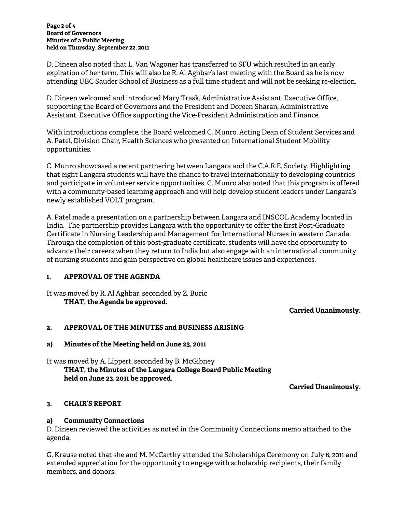#### **Page 2 of 4 Board of Governors Minutes of a Public Meeting held on Thursday, September 22, 2011**

D. Dineen also noted that L. Van Wagoner has transferred to SFU which resulted in an early expiration of her term. This will also be R. Al Aghbar's last meeting with the Board as he is now attending UBC Sauder School of Business as a full time student and will not be seeking re-election.

D. Dineen welcomed and introduced Mary Trask, Administrative Assistant, Executive Office, supporting the Board of Governors and the President and Doreen Sharan, Administrative Assistant, Executive Office supporting the Vice-President Administration and Finance.

With introductions complete, the Board welcomed C. Munro, Acting Dean of Student Services and A. Patel, Division Chair, Health Sciences who presented on International Student Mobility opportunities.

C. Munro showcased a recent partnering between Langara and the C.A.R.E. Society. Highlighting that eight Langara students will have the chance to travel internationally to developing countries and participate in volunteer service opportunities. C. Munro also noted that this program is offered with a community-based learning approach and will help develop student leaders under Langara's newly established VOLT program.

A. Patel made a presentation on a partnership between Langara and INSCOL Academy located in India. The partnership provides Langara with the opportunity to offer the first Post-Graduate Certificate in Nursing Leadership and Management for International Nurses in western Canada. Through the completion of this post-graduate certificate, students will have the opportunity to advance their careers when they return to India but also engage with an international community of nursing students and gain perspective on global healthcare issues and experiences.

# **1. APPROVAL OF THE AGENDA**

It was moved by R. Al Aghbar, seconded by Z. Buric  **THAT, the Agenda be approved.** 

**Carried Unanimously.** 

# **2. APPROVAL OF THE MINUTES and BUSINESS ARISING**

## **a) Minutes of the Meeting held on June 23, 2011**

# It was moved by A. Lippert, seconded by B. McGibney  **THAT, the Minutes of the Langara College Board Public Meeting held on June 23, 2011 be approved.**

**Carried Unanimously.** 

# **3. CHAIR'S REPORT**

## **a) Community Connections**

D. Dineen reviewed the activities as noted in the Community Connections memo attached to the agenda.

G. Krause noted that she and M. McCarthy attended the Scholarships Ceremony on July 6, 2011 and extended appreciation for the opportunity to engage with scholarship recipients, their family members, and donors.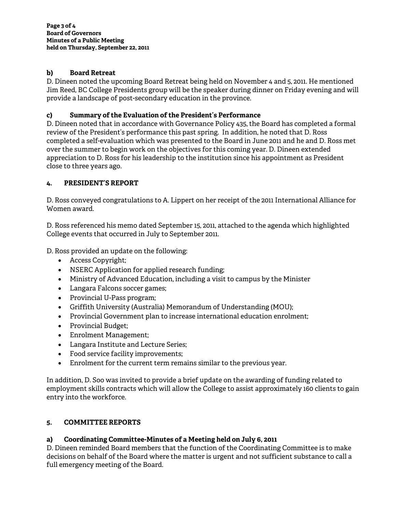# **b) Board Retreat**

D. Dineen noted the upcoming Board Retreat being held on November 4 and 5, 2011. He mentioned Jim Reed, BC College Presidents group will be the speaker during dinner on Friday evening and will provide a landscape of post-secondary education in the province.

## **c) Summary of the Evaluation of the President's Performance**

D. Dineen noted that in accordance with Governance Policy 435, the Board has completed a formal review of the President's performance this past spring. In addition, he noted that D. Ross completed a self-evaluation which was presented to the Board in June 2011 and he and D. Ross met over the summer to begin work on the objectives for this coming year. D. Dineen extended appreciation to D. Ross for his leadership to the institution since his appointment as President close to three years ago.

# **4. PRESIDENT'S REPORT**

D. Ross conveyed congratulations to A. Lippert on her receipt of the 2011 International Alliance for Women award.

D. Ross referenced his memo dated September 15, 2011, attached to the agenda which highlighted College events that occurred in July to September 2011.

D. Ross provided an update on the following:

- Access Copyright;
- NSERC Application for applied research funding;
- Ministry of Advanced Education, including a visit to campus by the Minister
- Langara Falcons soccer games;
- Provincial U-Pass program;
- Griffith University (Australia) Memorandum of Understanding (MOU);
- Provincial Government plan to increase international education enrolment;
- Provincial Budget;
- Enrolment Management;
- Langara Institute and Lecture Series;
- Food service facility improvements;
- Enrolment for the current term remains similar to the previous year.

In addition, D. Soo was invited to provide a brief update on the awarding of funding related to employment skills contracts which will allow the College to assist approximately 160 clients to gain entry into the workforce.

## **5. COMMITTEE REPORTS**

# **a) Coordinating Committee-Minutes of a Meeting held on July 6, 2011**

D. Dineen reminded Board members that the function of the Coordinating Committee is to make decisions on behalf of the Board where the matter is urgent and not sufficient substance to call a full emergency meeting of the Board.